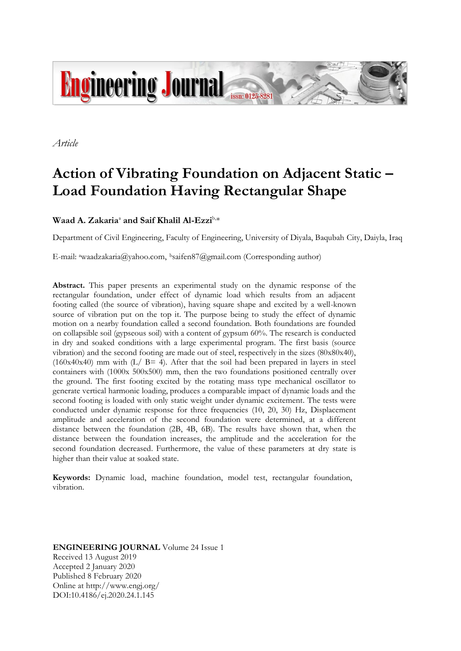

*Article*

# **Action of Vibrating Foundation on Adjacent Static – Load Foundation Having Rectangular Shape**

# **Waad A. Zakaria**<sup>a</sup> **and Saif Khalil Al-Ezzi**b, \*

Department of Civil Engineering, Faculty of Engineering, University of Diyala, Baqubah City, Daiyla, Iraq

E-mail: awaadzakaria@yahoo.com, <sup>b</sup>saifen87@gmail.com (Corresponding author)

**Abstract.** This paper presents an experimental study on the dynamic response of the rectangular foundation, under effect of dynamic load which results from an adjacent footing called (the source of vibration), having square shape and excited by a well-known source of vibration put on the top it. The purpose being to study the effect of dynamic motion on a nearby foundation called a second foundation. Both foundations are founded on collapsible soil (gypseous soil) with a content of gypsum 60%. The research is conducted in dry and soaked conditions with a large experimental program. The first basis (source vibration) and the second footing are made out of steel, respectively in the sizes (80x80x40),  $(160x40x40)$  mm with  $(L / B= 4)$ . After that the soil had been prepared in layers in steel containers with (1000x 500x500) mm, then the two foundations positioned centrally over the ground. The first footing excited by the rotating mass type mechanical oscillator to generate vertical harmonic loading, produces a comparable impact of dynamic loads and the second footing is loaded with only static weight under dynamic excitement. The tests were conducted under dynamic response for three frequencies (10, 20, 30) Hz, Displacement amplitude and acceleration of the second foundation were determined, at a different distance between the foundation (2B, 4B, 6B). The results have shown that, when the distance between the foundation increases, the amplitude and the acceleration for the second foundation decreased. Furthermore, the value of these parameters at dry state is higher than their value at soaked state.

**Keywords:** Dynamic load, machine foundation, model test, rectangular foundation, vibration.

**ENGINEERING JOURNAL** Volume 24 Issue 1 Received 13 August 2019 Accepted 2 January 2020 Published 8 February 2020 Online at http://www.engj.org/ DOI:10.4186/ej.2020.24.1.145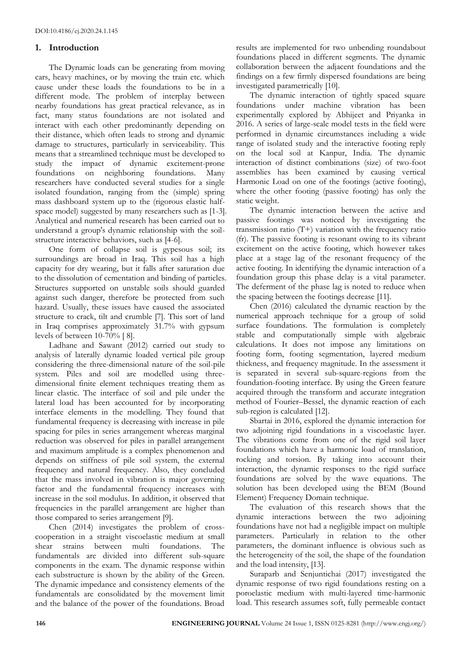### **1. Introduction**

The Dynamic loads can be generating from moving cars, heavy machines, or by moving the train etc. which cause under these loads the foundations to be in a different mode. The problem of interplay between nearby foundations has great practical relevance, as in fact, many status foundations are not isolated and interact with each other predominantly depending on their distance, which often leads to strong and dynamic damage to structures, particularly in serviceability. This means that a streamlined technique must be developed to study the impact of dynamic excitement-prone foundations on neighboring foundations. Many researchers have conducted several studies for a single isolated foundation, ranging from the (simple) spring mass dashboard system up to the (rigorous elastic halfspace model) suggested by many researchers such as [1-3]. Analytical and numerical research has been carried out to understand a group's dynamic relationship with the soilstructure interactive behaviors, such as [4-6].

One form of collapse soil is gypesous soil; its surroundings are broad in Iraq. This soil has a high capacity for dry wearing, but it falls after saturation due to the dissolution of cementation and binding of particles. Structures supported on unstable soils should guarded against such danger, therefore be protected from such hazard. Usually, these issues have caused the associated structure to crack, tilt and crumble [7]. This sort of land in Iraq comprises approximately 31.7% with gypsum levels of between 10-70% [ 8].

Ladhane and Sawant (2012) carried out study to analysis of laterally dynamic loaded vertical pile group considering the three-dimensional nature of the soil-pile system. Piles and soil are modelled using threedimensional finite element techniques treating them as linear elastic. The interface of soil and pile under the lateral load has been accounted for by incorporating interface elements in the modelling. They found that fundamental frequency is decreasing with increase in pile spacing for piles in series arrangement whereas marginal reduction was observed for piles in parallel arrangement and maximum amplitude is a complex phenomenon and depends on stiffness of pile soil system, the external frequency and natural frequency. Also, they concluded that the mass involved in vibration is major governing factor and the fundamental frequency increases with increase in the soil modulus. In addition, it observed that frequencies in the parallel arrangement are higher than those compared to series arrangement [9].

Chen (2014) investigates the problem of crosscooperation in a straight viscoelastic medium at small shear strains between multi foundations. The fundamentals are divided into different sub-square components in the exam. The dynamic response within each substructure is shown by the ability of the Green. The dynamic impedance and consistency elements of the fundamentals are consolidated by the movement limit and the balance of the power of the foundations. Broad results are implemented for two unbending roundabout foundations placed in different segments. The dynamic collaboration between the adjacent foundations and the findings on a few firmly dispersed foundations are being investigated parametrically [10].

The dynamic interaction of tightly spaced square foundations under machine vibration has been experimentally explored by Abhijeet and Priyanka in 2016. A series of large-scale model tests in the field were performed in dynamic circumstances including a wide range of isolated study and the interactive footing reply on the local soil at Kanpur, India. The dynamic interaction of distinct combinations (size) of two-foot assemblies has been examined by causing vertical Harmonic Load on one of the footings (active footing), where the other footing (passive footing) has only the static weight.

The dynamic interaction between the active and passive footings was noticed by investigating the transmission ratio  $(T+)$  variation with the frequency ratio (fr). The passive footing is resonant owing to its vibrant excitement on the active footing, which however takes place at a stage lag of the resonant frequency of the active footing. In identifying the dynamic interaction of a foundation group this phase delay is a vital parameter. The deferment of the phase lag is noted to reduce when the spacing between the footings decrease [11].

Chen (2016) calculated the dynamic reaction by the numerical approach technique for a group of solid surface foundations. The formulation is completely stable and computationally simple with algebraic calculations. It does not impose any limitations on footing form, footing segmentation, layered medium thickness, and frequency magnitude. In the assessment it is separated in several sub-square-regions from the foundation-footing interface. By using the Green feature acquired through the transform and accurate integration method of Fourier–Bessel, the dynamic reaction of each sub-region is calculated [12].

Sbartai in 2016, explored the dynamic interaction for two adjoining rigid foundations in a viscoelastic layer. The vibrations come from one of the rigid soil layer foundations which have a harmonic load of translation, rocking and torsion. By taking into account their interaction, the dynamic responses to the rigid surface foundations are solved by the wave equations. The solution has been developed using the BEM (Bound Element) Frequency Domain technique.

The evaluation of this research shows that the dynamic interactions between the two adjoining foundations have not had a negligible impact on multiple parameters. Particularly in relation to the other parameters, the dominant influence is obvious such as the heterogeneity of the soil, the shape of the foundation and the load intensity, [13].

Suraparb and Senjuntichai (2017) investigated the dynamic response of two rigid foundations resting on a poroelastic medium with multi-layered time-harmonic load. This research assumes soft, fully permeable contact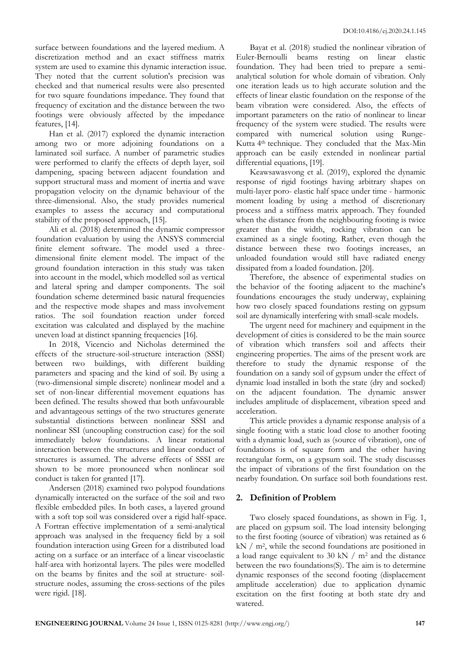surface between foundations and the layered medium. A discretization method and an exact stiffness matrix system are used to examine this dynamic interaction issue. They noted that the current solution's precision was checked and that numerical results were also presented for two square foundations impedance. They found that frequency of excitation and the distance between the two footings were obviously affected by the impedance features, [14].

Han et al. (2017) explored the dynamic interaction among two or more adjoining foundations on a laminated soil surface. A number of parametric studies were performed to clarify the effects of depth layer, soil dampening, spacing between adjacent foundation and support structural mass and moment of inertia and wave propagation velocity on the dynamic behaviour of the three-dimensional. Also, the study provides numerical examples to assess the accuracy and computational stability of the proposed approach, [15].

Ali et al. (2018) determined the dynamic compressor foundation evaluation by using the ANSYS commercial finite element software. The model used a threedimensional finite element model. The impact of the ground foundation interaction in this study was taken into account in the model, which modelled soil as vertical and lateral spring and damper components. The soil foundation scheme determined basic natural frequencies and the respective mode shapes and mass involvement ratios. The soil foundation reaction under forced excitation was calculated and displayed by the machine uneven load at distinct spanning frequencies [16].

In 2018, Vicencio and Nicholas determined the effects of the structure-soil-structure interaction (SSSI) between two buildings, with different building parameters and spacing and the kind of soil. By using a (two-dimensional simple discrete) nonlinear model and a set of non-linear differential movement equations has been defined. The results showed that both unfavourable and advantageous settings of the two structures generate substantial distinctions between nonlinear SSSI and nonlinear SSI (uncoupling construction case) for the soil immediately below foundations. A linear rotational interaction between the structures and linear conduct of structures is assumed. The adverse effects of SSSI are shown to be more pronounced when nonlinear soil conduct is taken for granted [17].

Andersen (2018) examined two polypod foundations dynamically interacted on the surface of the soil and two flexible embedded piles. In both cases, a layered ground with a soft top soil was considered over a rigid half-space. A Fortran effective implementation of a semi-analytical approach was analysed in the frequency field by a soil foundation interaction using Green for a distributed load acting on a surface or an interface of a linear viscoelastic half-area with horizontal layers. The piles were modelled on the beams by finites and the soil at structure- soilstructure nodes, assuming the cross-sections of the piles were rigid. [18].

Bayat et al. (2018) studied the nonlinear vibration of Euler-Bernoulli beams resting on linear elastic foundation. They had been tried to prepare a semianalytical solution for whole domain of vibration. Only one iteration leads us to high accurate solution and the effects of linear elastic foundation on the response of the beam vibration were considered. Also, the effects of important parameters on the ratio of nonlinear to linear frequency of the system were studied. The results were compared with numerical solution using Runge-Kutta 4<sup>th</sup> technique. They concluded that the Max-Min approach can be easily extended in nonlinear partial differential equations, [19].

Keawsawasvong et al. (2019), explored the dynamic response of rigid footings having arbitrary shapes on multi-layer poro- elastic half space under time - harmonic moment loading by using a method of discretionary process and a stiffness matrix approach. They founded when the distance from the neighbouring footing is twice greater than the width, rocking vibration can be examined as a single footing. Rather, even though the distance between these two footings increases, an unloaded foundation would still have radiated energy dissipated from a loaded foundation. [20].

Therefore, the absence of experimental studies on the behavior of the footing adjacent to the machine's foundations encourages the study underway, explaining how two closely spaced foundations resting on gypsum soil are dynamically interfering with small-scale models.

The urgent need for machinery and equipment in the development of cities is considered to be the main source of vibration which transfers soil and affects their engineering properties. The aims of the present work are therefore to study the dynamic response of the foundation on a sandy soil of gypsum under the effect of dynamic load installed in both the state (dry and socked) on the adjacent foundation. The dynamic answer includes amplitude of displacement, vibration speed and acceleration.

This article provides a dynamic response analysis of a single footing with a static load close to another footing with a dynamic load, such as (source of vibration), one of foundations is of square form and the other having rectangular form, on a gypsum soil. The study discusses the impact of vibrations of the first foundation on the nearby foundation. On surface soil both foundations rest.

# **2. Definition of Problem**

Two closely spaced foundations, as shown in Fig. 1, are placed on gypsum soil. The load intensity belonging to the first footing (source of vibration) was retained as 6 kN / m<sup>2</sup> , while the second foundations are positioned in a load range equivalent to 30 kN  $/$  m<sup>2</sup> and the distance between the two foundations(S). The aim is to determine dynamic responses of the second footing (displacement amplitude acceleration) due to application dynamic excitation on the first footing at both state dry and watered.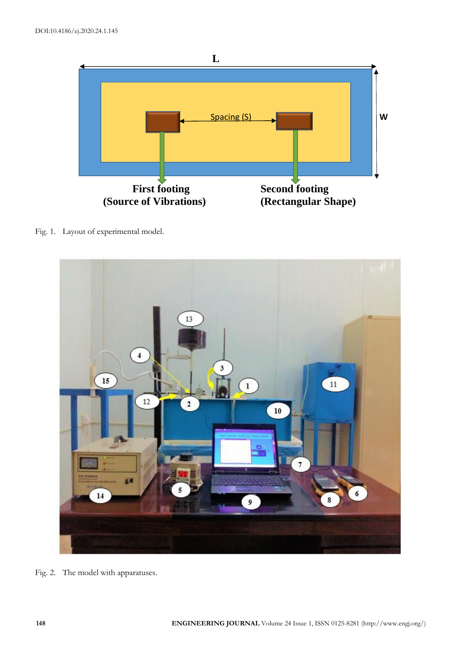

Fig. 1. Layout of experimental model.



Fig. 2. The model with apparatuses.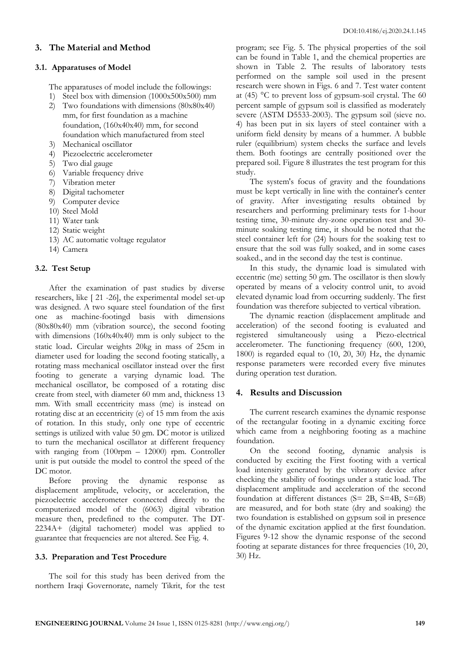## **3. The Material and Method**

## **3.1. Apparatuses of Model**

The apparatuses of model include the followings:

- 1) Steel box with dimension (1000x500x500) mm
- 2) Two foundations with dimensions (80x80x40) mm, for first foundation as a machine foundation, (160x40x40) mm, for second foundation which manufactured from steel
- 3) Mechanical oscillator
- 4) Piezoelectric accelerometer
- 5) Two dial gauge
- 6) Variable frequency drive
- 7) Vibration meter
- 8) Digital tachometer
- 9) Computer device
- 10) Steel Mold
- 11) Water tank
- 12) Static weight
- 13) AC automatic voltage regulator
- 14) Camera

# **3.2. Test Setup**

After the examination of past studies by diverse researchers, like [ 21 -26], the experimental model set-up was designed. A two square steel foundation of the first one as machine-footingd basis with dimensions (80x80x40) mm (vibration source), the second footing with dimensions (160x40x40) mm is only subject to the static load. Circular weights 20kg in mass of 25cm in diameter used for loading the second footing statically, a rotating mass mechanical oscillator instead over the first footing to generate a varying dynamic load. The mechanical oscillator, be composed of a rotating disc create from steel, with diameter 60 mm and, thickness 13 mm. With small eccentricity mass (me) is instead on rotating disc at an eccentricity (e) of 15 mm from the axis of rotation. In this study, only one type of eccentric settings is utilized with value 50 gm. DC motor is utilized to turn the mechanical oscillator at different frequency with ranging from (100rpm – 12000) rpm. Controller unit is put outside the model to control the speed of the DC motor.

Before proving the dynamic response as displacement amplitude, velocity, or acceleration, the piezoelectric accelerometer connected directly to the computerized model of the (6063) digital vibration measure then, predefined to the computer. The DT-2234A+ (digital tachometer) model was applied to guarantee that frequencies are not altered. See Fig. 4.

# **3.3. Preparation and Test Procedure**

The soil for this study has been derived from the northern Iraqi Governorate, namely Tikrit, for the test program; see Fig. 5. The physical properties of the soil can be found in Table 1, and the chemical properties are shown in Table 2. The results of laboratory tests performed on the sample soil used in the present research were shown in Figs. 6 and 7. Test water content at (45) °C to prevent loss of gypsum-soil crystal. The 60 percent sample of gypsum soil is classified as moderately severe (ASTM D5533-2003). The gypsum soil (sieve no. 4) has been put in six layers of steel container with a uniform field density by means of a hummer. A bubble ruler (equilibrium) system checks the surface and levels them. Both footings are centrally positioned over the prepared soil. Figure 8 illustrates the test program for this study.

The system's focus of gravity and the foundations must be kept vertically in line with the container's center of gravity. After investigating results obtained by researchers and performing preliminary tests for 1-hour testing time, 30-minute dry-zone operation test and 30 minute soaking testing time, it should be noted that the steel container left for (24) hours for the soaking test to ensure that the soil was fully soaked, and in some cases soaked., and in the second day the test is continue.

In this study, the dynamic load is simulated with eccentric (me) setting 50 gm. The oscillator is then slowly operated by means of a velocity control unit, to avoid elevated dynamic load from occurring suddenly. The first foundation was therefore subjected to vertical vibration.

The dynamic reaction (displacement amplitude and acceleration) of the second footing is evaluated and registered simultaneously using a Piezo-electrical accelerometer. The functioning frequency (600, 1200, 1800) is regarded equal to (10, 20, 30) Hz, the dynamic response parameters were recorded every five minutes during operation test duration.

# **4. Results and Discussion**

The current research examines the dynamic response of the rectangular footing in a dynamic exciting force which came from a neighboring footing as a machine foundation.

On the second footing, dynamic analysis is conducted by exciting the First footing with a vertical load intensity generated by the vibratory device after checking the stability of footings under a static load. The displacement amplitude and acceleration of the second foundation at different distances (S= 2B, S=4B, S=6B) are measured, and for both state (dry and soaking) the two foundation is established on gypsum soil in presence of the dynamic excitation applied at the first foundation. Figures 9-12 show the dynamic response of the second footing at separate distances for three frequencies (10, 20, 30) Hz.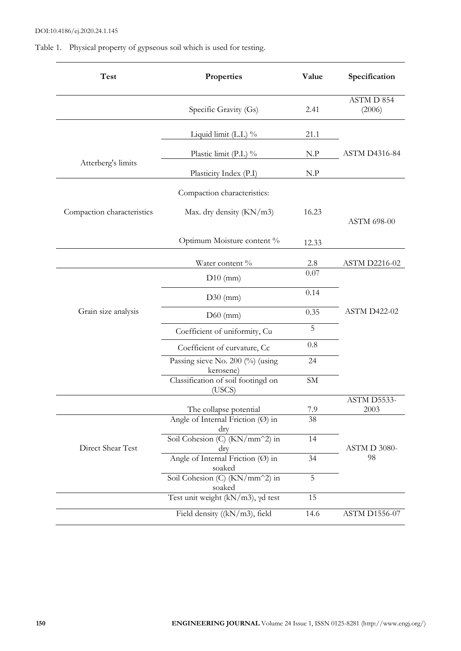Table 1. Physical property of gypseous soil which is used for testing.

| <b>Test</b>                | Properties                                         | Value          | Specification        |
|----------------------------|----------------------------------------------------|----------------|----------------------|
|                            | Specific Gravity (Gs)                              | 2.41           | ASTM D 854<br>(2006) |
| Atterberg's limits         | Liquid limit $(L.L)$ %                             | 21.1           |                      |
|                            | Plastic limit (P.L) $\%$                           | N.P            | <b>ASTM D4316-84</b> |
|                            | Plasticity Index (P.I)                             | N.P            |                      |
| Compaction characteristics | Compaction characteristics:                        |                |                      |
|                            | Max. dry density (KN/m3)                           | 16.23          | ASTM 698-00          |
|                            | Optimum Moisture content %                         | 12.33          |                      |
|                            | Water content %                                    | 2.8            | <b>ASTM D2216-02</b> |
| Grain size analysis        | $D10$ (mm)                                         | 0.07           | <b>ASTM D422-02</b>  |
|                            | $D30$ (mm)                                         | 0.14           |                      |
|                            | $D60$ (mm)                                         | 0.35           |                      |
|                            | Coefficient of uniformity, Cu                      | $\overline{5}$ |                      |
|                            | Coefficient of curvature, Cc                       | 0.8            |                      |
|                            | Passing sieve No. 200 (%) (using<br>kerosene)      | 24             |                      |
|                            | Classification of soil footingd on<br>(USCS)       | SM             |                      |
|                            | The collapse potential                             | 7.9            | ASTM D5533-<br>2003  |
| Direct Shear Test          | Angle of Internal Friction $(\emptyset)$ in<br>dry | 38             |                      |
|                            | Soil Cohesion (C) (KN/mm^2) in<br>dry              | 14             | ASTM D 3080-<br>98   |
|                            | Angle of Internal Friction (Ø) in<br>soaked        | 34             |                      |
|                            | Soil Cohesion (C) (KN/mm^2) in<br>soaked           | 5              |                      |
|                            | Test unit weight $(kN/m3)$ , yd test               | 15             |                      |
|                            | Field density ((kN/m3), field                      | 14.6           | <b>ASTM D1556-07</b> |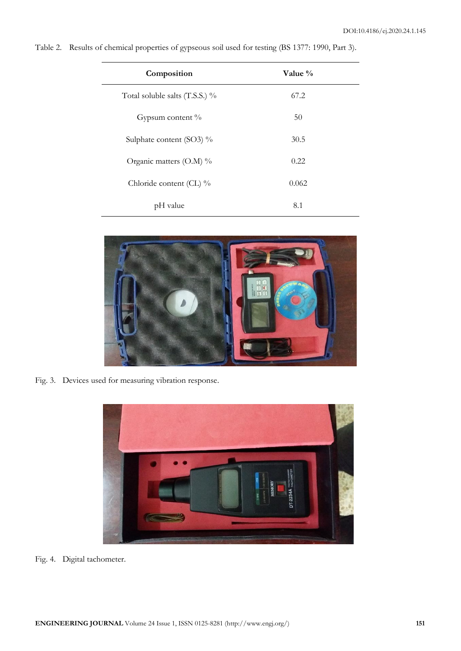| Composition                      | Value % |  |
|----------------------------------|---------|--|
| Total soluble salts $(T.S.S.)$ % | 67.2    |  |
| Gypsum content %                 | 50      |  |
| Sulphate content (SO3) %         | 30.5    |  |
| Organic matters $(O.M)$ %        | 0.22    |  |
| Chloride content (CL) %          | 0.062   |  |
| pH value                         | 8.1     |  |

Table 2. Results of chemical properties of gypseous soil used for testing (BS 1377: 1990, Part 3).



Fig. 3. Devices used for measuring vibration response.



Fig. 4. Digital tachometer.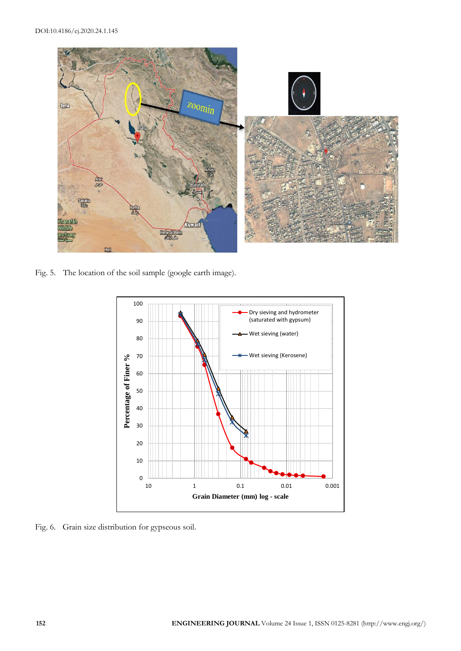

Fig. 5. The location of the soil sample (google earth image).



Fig. 6. Grain size distribution for gypseous soil.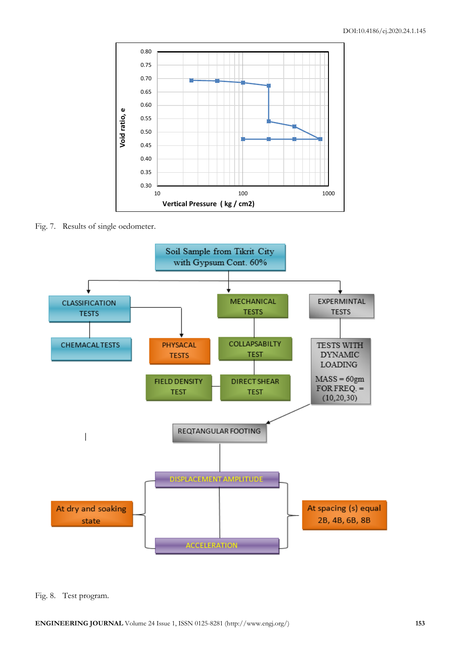

Fig. 7. Results of single oedometer.



Fig. 8. Test program.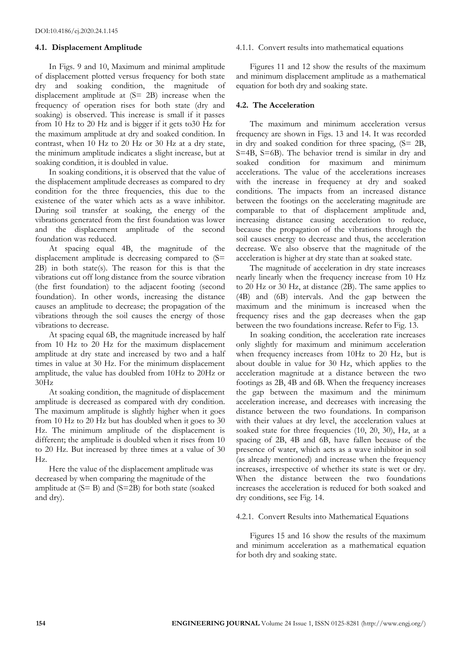#### **4.1. Displacement Amplitude**

In Figs. 9 and 10, Maximum and minimal amplitude of displacement plotted versus frequency for both state dry and soaking condition, the magnitude of displacement amplitude at (S= 2B) increase when the frequency of operation rises for both state (dry and soaking) is observed. This increase is small if it passes from 10 Hz to 20 Hz and is bigger if it gets to30 Hz for the maximum amplitude at dry and soaked condition. In contrast, when 10 Hz to 20 Hz or 30 Hz at a dry state, the minimum amplitude indicates a slight increase, but at soaking condition, it is doubled in value.

In soaking conditions, it is observed that the value of the displacement amplitude decreases as compared to dry condition for the three frequencies, this due to the existence of the water which acts as a wave inhibitor. During soil transfer at soaking, the energy of the vibrations generated from the first foundation was lower and the displacement amplitude of the second foundation was reduced.

At spacing equal 4B, the magnitude of the displacement amplitude is decreasing compared to (S= 2B) in both state(s). The reason for this is that the vibrations cut off long distance from the source vibration (the first foundation) to the adjacent footing (second foundation). In other words, increasing the distance causes an amplitude to decrease; the propagation of the vibrations through the soil causes the energy of those vibrations to decrease.

At spacing equal 6B, the magnitude increased by half from 10 Hz to 20 Hz for the maximum displacement amplitude at dry state and increased by two and a half times in value at 30 Hz. For the minimum displacement amplitude, the value has doubled from 10Hz to 20Hz or 30Hz

At soaking condition, the magnitude of displacement amplitude is decreased as compared with dry condition. The maximum amplitude is slightly higher when it goes from 10 Hz to 20 Hz but has doubled when it goes to 30 Hz. The minimum amplitude of the displacement is different; the amplitude is doubled when it rises from 10 to 20 Hz. But increased by three times at a value of 30 Hz.

Here the value of the displacement amplitude was decreased by when comparing the magnitude of the amplitude at  $(S = B)$  and  $(S = 2B)$  for both state (soaked and dry).

#### 4.1.1. Convert results into mathematical equations

Figures 11 and 12 show the results of the maximum and minimum displacement amplitude as a mathematical equation for both dry and soaking state.

#### **4.2. The Acceleration**

The maximum and minimum acceleration versus frequency are shown in Figs. 13 and 14. It was recorded in dry and soaked condition for three spacing, (S= 2B, S=4B, S=6B). The behavior trend is similar in dry and soaked condition for maximum and minimum accelerations. The value of the accelerations increases with the increase in frequency at dry and soaked conditions. The impacts from an increased distance between the footings on the accelerating magnitude are comparable to that of displacement amplitude and, increasing distance causing acceleration to reduce, because the propagation of the vibrations through the soil causes energy to decrease and thus, the acceleration decrease. We also observe that the magnitude of the acceleration is higher at dry state than at soaked state.

The magnitude of acceleration in dry state increases nearly linearly when the frequency increase from 10 Hz to 20 Hz or 30 Hz, at distance (2B). The same applies to (4B) and (6B) intervals. And the gap between the maximum and the minimum is increased when the frequency rises and the gap decreases when the gap between the two foundations increase. Refer to Fig. 13.

In soaking condition, the acceleration rate increases only slightly for maximum and minimum acceleration when frequency increases from 10Hz to 20 Hz, but is about double in value for 30 Hz, which applies to the acceleration magnitude at a distance between the two footings as 2B, 4B and 6B. When the frequency increases the gap between the maximum and the minimum acceleration increase, and decreases with increasing the distance between the two foundations. In comparison with their values at dry level, the acceleration values at soaked state for three frequencies (10, 20, 30), Hz, at a spacing of 2B, 4B and 6B, have fallen because of the presence of water, which acts as a wave inhibitor in soil (as already mentioned) and increase when the frequency increases, irrespective of whether its state is wet or dry. When the distance between the two foundations increases the acceleration is reduced for both soaked and dry conditions, see Fig. 14.

#### 4.2.1. Convert Results into Mathematical Equations

Figures 15 and 16 show the results of the maximum and minimum acceleration as a mathematical equation for both dry and soaking state.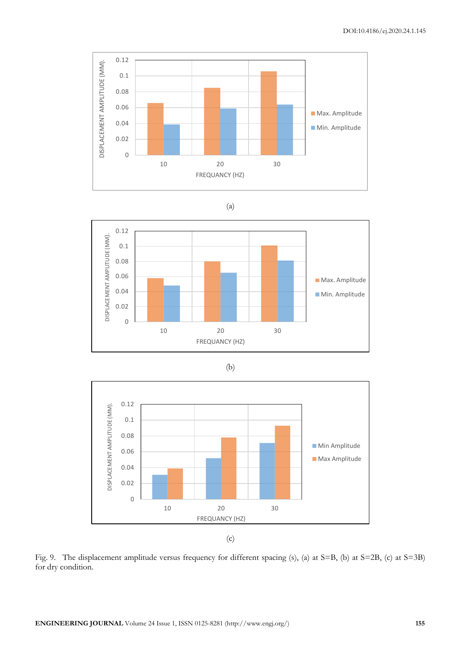

$$
\left( \text{a} \right)
$$









Fig. 9. The displacement amplitude versus frequency for different spacing (s), (a) at S=B, (b) at S=2B, (c) at S=3B) for dry condition.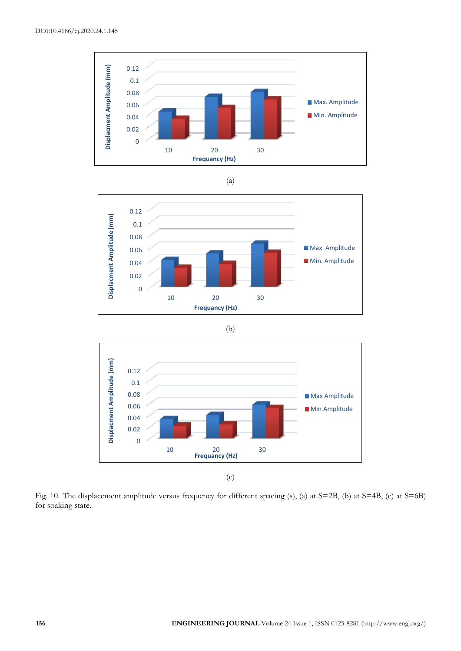

(a)



(b)



(c)

Fig. 10. The displacement amplitude versus frequency for different spacing (s), (a) at S=2B, (b) at S=4B, (c) at S=6B) for soaking state.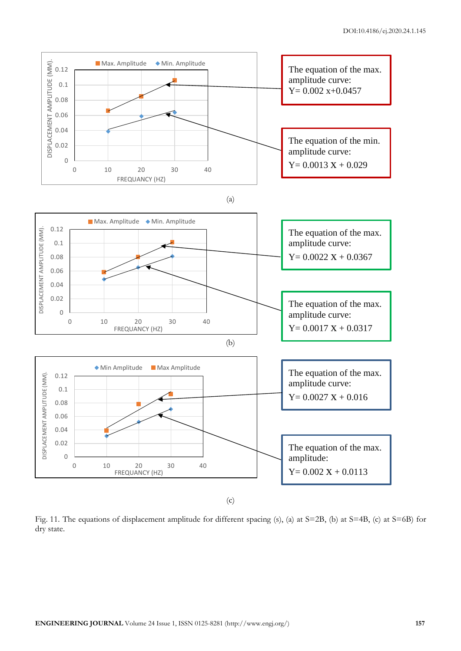

Fig. 11. The equations of displacement amplitude for different spacing (s), (a) at S=2B, (b) at S=4B, (c) at S=6B) for dry state.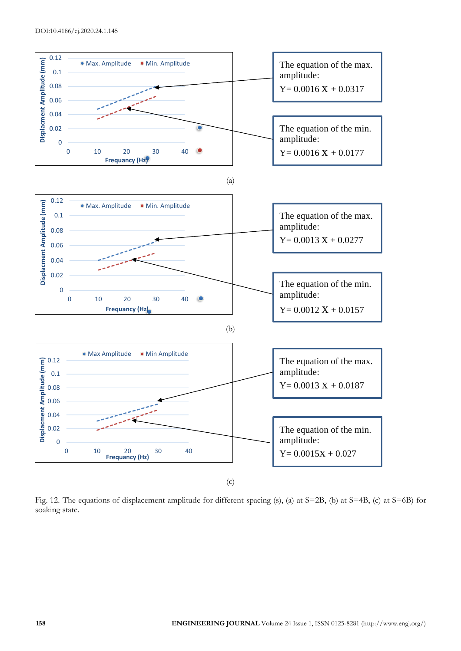

Fig. 12. The equations of displacement amplitude for different spacing (s), (a) at S=2B, (b) at S=4B, (c) at S=6B) for soaking state.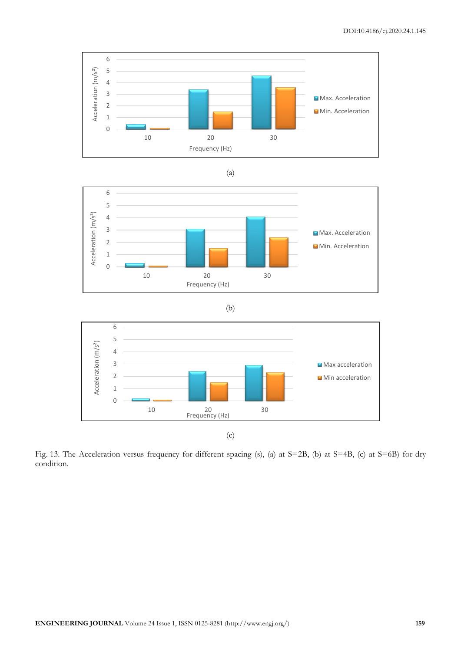





(b)



(c)

Fig. 13. The Acceleration versus frequency for different spacing (s), (a) at S=2B, (b) at S=4B, (c) at S=6B) for dry condition.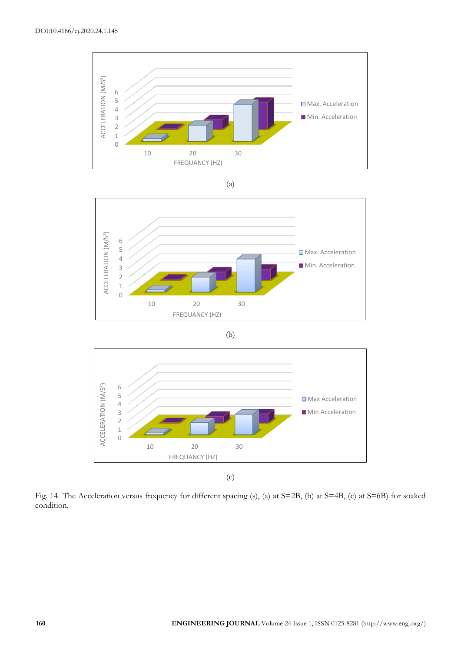









(c)

Fig. 14. The Acceleration versus frequency for different spacing (s), (a) at S=2B, (b) at S=4B, (c) at S=6B) for soaked condition.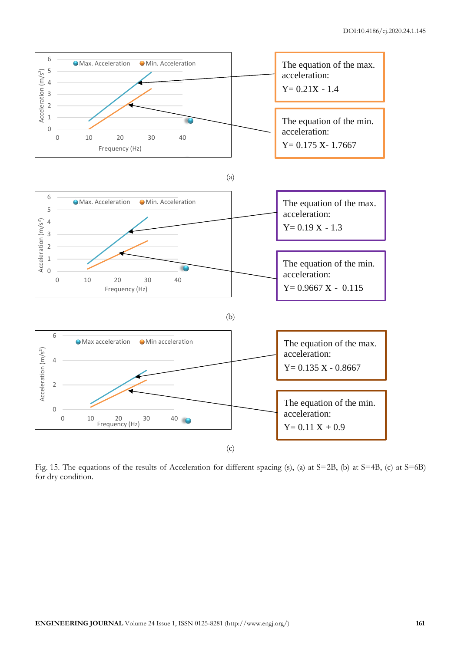

Fig. 15. The equations of the results of Acceleration for different spacing (s), (a) at S=2B, (b) at S=4B, (c) at S=6B) for dry condition.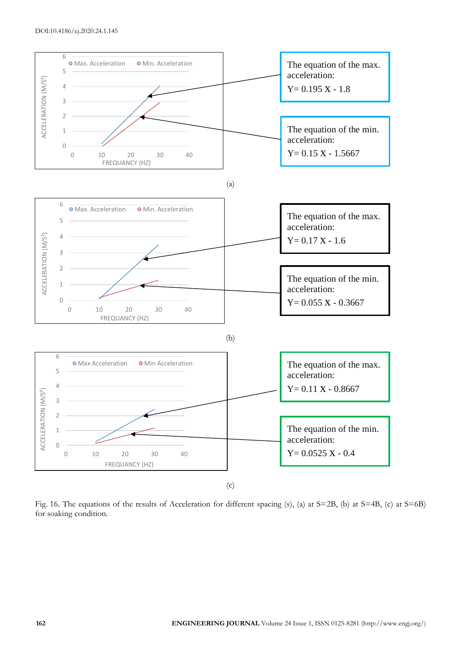

Fig. 16. The equations of the results of Acceleration for different spacing (s), (a) at S=2B, (b) at S=4B, (c) at S=6B) for soaking condition.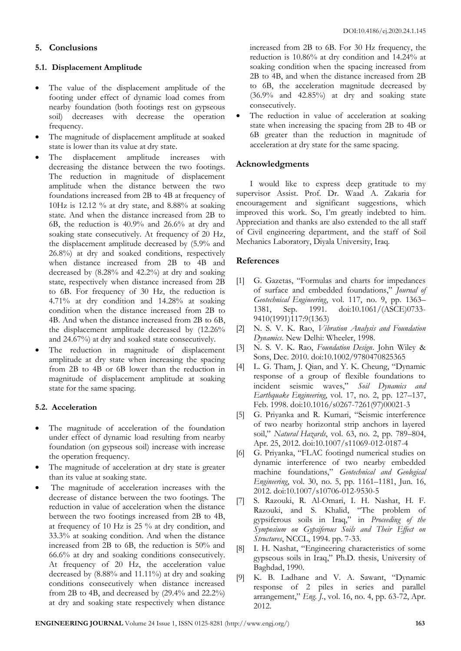# **5. Conclusions**

## **5.1. Displacement Amplitude**

- The value of the displacement amplitude of the footing under effect of dynamic load comes from nearby foundation (both footings rest on gypseous soil) decreases with decrease the operation frequency.
- The magnitude of displacement amplitude at soaked state is lower than its value at dry state.
- The displacement amplitude increases with decreasing the distance between the two footings. The reduction in magnitude of displacement amplitude when the distance between the two foundations increased from 2B to 4B at frequency of 10Hz is 12.12 % at dry state, and 8.88% at soaking state. And when the distance increased from 2B to 6B, the reduction is 40.9% and 26.6% at dry and soaking state consecutively. At frequency of 20 Hz, the displacement amplitude decreased by (5.9% and 26.8%) at dry and soaked conditions, respectively when distance increased from 2B to 4B and decreased by (8.28% and 42.2%) at dry and soaking state, respectively when distance increased from 2B to 6B. For frequency of 30 Hz, the reduction is 4.71% at dry condition and 14.28% at soaking condition when the distance increased from 2B to 4B. And when the distance increased from 2B to 6B, the displacement amplitude decreased by (12.26% and 24.67%) at dry and soaked state consecutively.
- The reduction in magnitude of displacement amplitude at dry state when increasing the spacing from 2B to 4B or 6B lower than the reduction in magnitude of displacement amplitude at soaking state for the same spacing.

## **5.2. Acceleration**

- The magnitude of acceleration of the foundation under effect of dynamic load resulting from nearby foundation (on gypseous soil) increase with increase the operation frequency.
- The magnitude of acceleration at dry state is greater than its value at soaking state.
- The magnitude of acceleration increases with the decrease of distance between the two footings. The reduction in value of acceleration when the distance between the two footings increased from 2B to 4B, at frequency of 10 Hz is 25 % at dry condition, and 33.3% at soaking condition. And when the distance increased from 2B to 6B, the reduction is 50% and 66.6% at dry and soaking conditions consecutively. At frequency of 20 Hz, the acceleration value decreased by (8.88% and 11.11%) at dry and soaking conditions consecutively when distance increased from 2B to 4B, and decreased by (29.4% and 22.2%) at dry and soaking state respectively when distance

increased from 2B to 6B. For 30 Hz frequency, the reduction is 10.86% at dry condition and 14.24% at soaking condition when the spacing increased from 2B to 4B, and when the distance increased from 2B to 6B, the acceleration magnitude decreased by (36.9% and 42.85%) at dry and soaking state consecutively.

The reduction in value of acceleration at soaking state when increasing the spacing from 2B to 4B or 6B greater than the reduction in magnitude of acceleration at dry state for the same spacing.

# **Acknowledgments**

I would like to express deep gratitude to my supervisor Assist. Prof. Dr. Waad A. Zakaria for encouragement and significant suggestions, which improved this work. So, I'm greatly indebted to him. Appreciation and thanks are also extended to the all staff of Civil engineering department, and the staff of Soil Mechanics Laboratory, Diyala University, Iraq.

## **References**

- [1] G. Gazetas, "Formulas and charts for impedances of surface and embedded foundations," *Journal of Geotechnical Engineering*, vol. 117, no. 9, pp. 1363– 1381, Sep. 1991. doi:10.1061/(ASCE)0733- 9410(1991)117:9(1363)
- [2] N. S. V. K. Rao, *Vibration Analysis and Foundation Dynamics*. New Delhi: Wheeler, 1998.
- [3] N. S. V. K. Rao, *Foundation Design*. John Wiley & Sons, Dec. 2010. doi:10.1002/9780470825365
- [4] L. G. Tham, J. Qian, and Y. K. Cheung, "Dynamic response of a group of flexible foundations to incident seismic waves," *Soil Dynamics and Earthquake Engineering*, vol. 17, no. 2, pp. 127–137, Feb. 1998. doi:10.1016/s0267-7261(97)00021-3
- [5] G. Priyanka and R. Kumari, "Seismic interference of two nearby horizontal strip anchors in layered soil," *Natural Hazards*, vol. 63, no. 2, pp. 789–804, Apr. 25, 2012. doi:10.1007/s11069-012-0187-4
- [6] G. Priyanka, "FLAC footingd numerical studies on dynamic interference of two nearby embedded machine foundations," *Geotechnical and Geological Engineering*, vol. 30, no. 5, pp. 1161–1181, Jun. 16, 2012. doi:10.1007/s10706-012-9530-5
- [7] S. Razouki, R. Al-Omari, I. H. Nashat, H. F. Razouki, and S. Khalid, "The problem of gypsiferous soils in Iraq," in *Proceeding of the Symposium on Gypsiferous Soils and Their Effect on Structures*, NCCL, 1994. pp. 7-33.
- [8] I. H. Nashat, "Engineering characteristics of some gypseous soils in Iraq," Ph.D. thesis, University of Baghdad, 1990.
- [9] K. B. Ladhane and V. A. Sawant, "Dynamic response of 2 piles in series and parallel arrangement," *Eng. J.*, vol. 16, no. 4, pp. 63-72, Apr. 2012.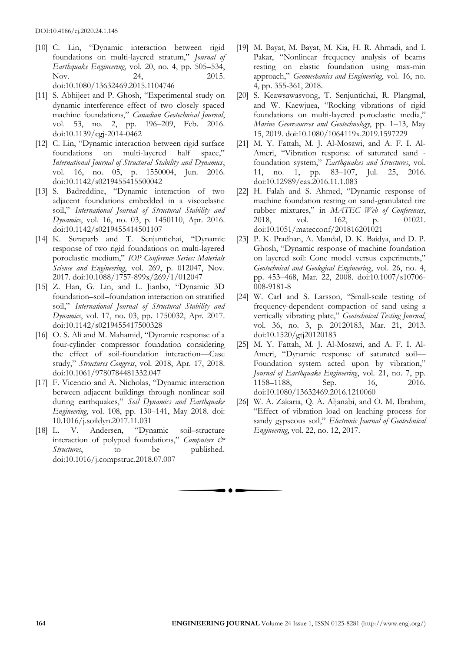- [10] C. Lin, "Dynamic interaction between rigid foundations on multi-layered stratum," *Journal of Earthquake Engineering*, vol. 20, no. 4, pp. 505–534, Nov. 24, 2015. doi:10.1080/13632469.2015.1104746
- [11] S. Abhijeet and P. Ghosh, "Experimental study on dynamic interference effect of two closely spaced machine foundations," *Canadian Geotechnical Journal*, vol. 53, no. 2, pp. 196–209, Feb. 2016. doi:10.1139/cgj-2014-0462
- [12] C. Lin, "Dynamic interaction between rigid surface foundations on multi-layered half space," *International Journal of Structural Stability and Dynamics*, vol. 16, no. 05, p. 1550004, Jun. 2016. doi:10.1142/s0219455415500042
- [13] S. Badreddine, "Dynamic interaction of two adjacent foundations embedded in a viscoelastic soil," *International Journal of Structural Stability and Dynamics*, vol. 16, no. 03, p. 1450110, Apr. 2016. doi:10.1142/s0219455414501107
- [14] K. Suraparb and T. Senjuntichai, "Dynamic response of two rigid foundations on multi-layered poroelastic medium," *IOP Conference Series: Materials Science and Engineering*, vol. 269, p. 012047, Nov. 2017. doi:10.1088/1757-899x/269/1/012047
- [15] Z. Han, G. Lin, and L. Jianbo, "Dynamic 3D foundation–soil–foundation interaction on stratified soil," *International Journal of Structural Stability and Dynamics*, vol. 17, no. 03, pp. 1750032, Apr. 2017. doi:10.1142/s0219455417500328
- [16] O. S. Ali and M. Mahamid, "Dynamic response of a four-cylinder compressor foundation considering the effect of soil-foundation interaction—Case study," *Structures Congress*, vol. 2018, Apr. 17, 2018. doi:10.1061/9780784481332.047
- [17] F. Vicencio and A. Nicholas, "Dynamic interaction between adjacent buildings through nonlinear soil during earthquakes," *Soil Dynamics and Earthquake Engineering*, vol. 108, pp. 130–141, May 2018. doi: 10.1016/j.soildyn.2017.11.031
- [18] L. V. Andersen, "Dynamic soil–structure interaction of polypod foundations," *Computers & Structures*, to be published. doi:10.1016/j.compstruc.2018.07.007
- [19] M. Bayat, M. Bayat, M. Kia, H. R. Ahmadi, and I. Pakar, "Nonlinear frequency analysis of beams resting on elastic foundation using max-min approach," *Geomechanics and Engineering*, vol. 16, no. 4, pp. 355-361, 2018.
- [20] S. Keawsawasvong, T. Senjuntichai, R. Plangmal, and W. Kaewjuea, "Rocking vibrations of rigid foundations on multi-layered poroelastic media," *Marine Georesources and Geotechnology*, pp. 1–13, May 15, 2019. doi:10.1080/1064119x.2019.1597229
- [21] M. Y. Fattah, M. J. Al-Mosawi, and A. F. I. Al-Ameri, "Vibration response of saturated sand foundation system," *Earthquakes and Structures*, vol. 11, no. 1, pp. 83–107, Jul. 25, 2016. doi:10.12989/eas.2016.11.1.083
- [22] H. Falah and S. Ahmed, "Dynamic response of machine foundation resting on sand-granulated tire rubber mixtures," in *MATEC Web of Conferences*, 2018, vol. 162, p. 01021. doi:10.1051/matecconf/201816201021
- [23] P. K. Pradhan, A. Mandal, D. K. Baidya, and D. P. Ghosh, "Dynamic response of machine foundation on layered soil: Cone model versus experiments," *Geotechnical and Geological Engineering*, vol. 26, no. 4, pp. 453–468, Mar. 22, 2008. doi:10.1007/s10706- 008-9181-8
- [24] W. Carl and S. Larsson, "Small-scale testing of frequency-dependent compaction of sand using a vertically vibrating plate," *Geotechnical Testing Journal*, vol. 36, no. 3, p. 20120183, Mar. 21, 2013. doi:10.1520/gtj20120183
- [25] M. Y. Fattah, M. J. Al-Mosawi, and A. F. I. Al-Ameri, "Dynamic response of saturated soil— Foundation system acted upon by vibration," *Journal of Earthquake Engineering*, vol. 21, no. 7, pp. 1158–1188, Sep. 16, 2016. doi:10.1080/13632469.2016.1210060
- [26] W. A. Zakaria, Q. A. Aljanabi, and O. M. Ibrahim, "Effect of vibration load on leaching process for sandy gypseous soil," *Electronic Journal of Geotechnical Engineering*, vol. 22, no. 12, 2017.